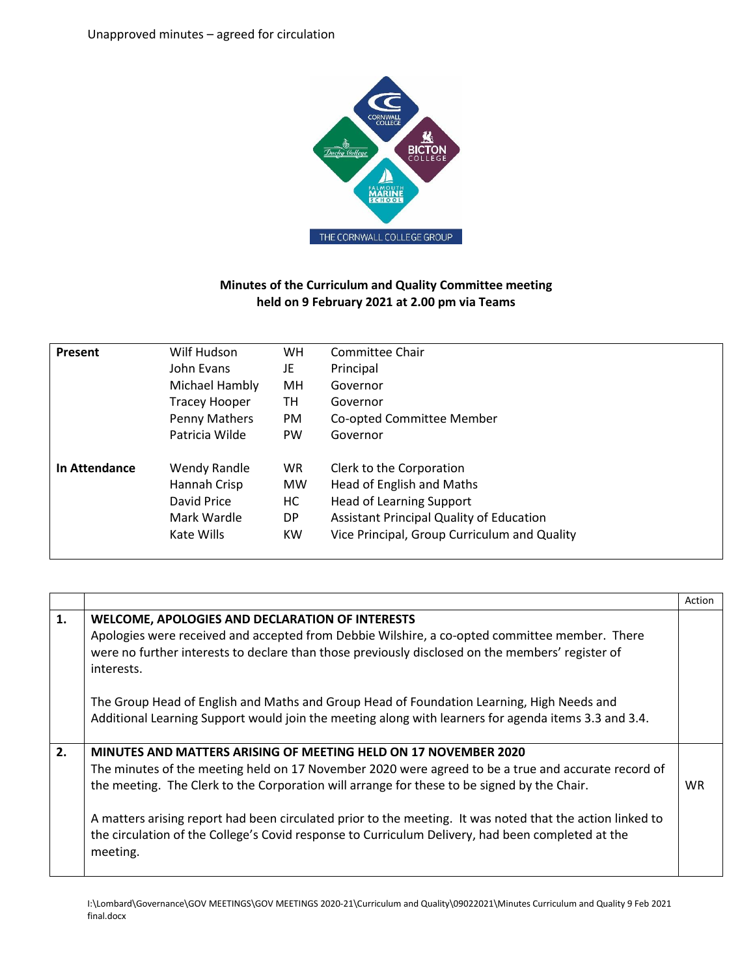

## **Minutes of the Curriculum and Quality Committee meeting held on 9 February 2021 at 2.00 pm via Teams**

| Present       | Wilf Hudson          | <b>WH</b> | Committee Chair                                 |
|---------------|----------------------|-----------|-------------------------------------------------|
|               |                      |           |                                                 |
|               | John Evans           | JE        | Principal                                       |
|               | Michael Hambly       | MН        | Governor                                        |
|               | <b>Tracey Hooper</b> | TH        | Governor                                        |
|               | Penny Mathers        | PM.       | Co-opted Committee Member                       |
|               | Patricia Wilde       | <b>PW</b> | Governor                                        |
| In Attendance | <b>Wendy Randle</b>  | <b>WR</b> | Clerk to the Corporation                        |
|               | Hannah Crisp         | <b>MW</b> | Head of English and Maths                       |
|               | David Price          | НC        | <b>Head of Learning Support</b>                 |
|               | Mark Wardle          | DP.       | <b>Assistant Principal Quality of Education</b> |
|               | Kate Wills           | KW.       | Vice Principal, Group Curriculum and Quality    |
|               |                      |           |                                                 |

|    |                                                                                                                                                                                                                                                                                                                                                                                                                                                                                                     | Action |
|----|-----------------------------------------------------------------------------------------------------------------------------------------------------------------------------------------------------------------------------------------------------------------------------------------------------------------------------------------------------------------------------------------------------------------------------------------------------------------------------------------------------|--------|
| 1. | WELCOME, APOLOGIES AND DECLARATION OF INTERESTS<br>Apologies were received and accepted from Debbie Wilshire, a co-opted committee member. There<br>were no further interests to declare than those previously disclosed on the members' register of<br>interests.                                                                                                                                                                                                                                  |        |
|    | The Group Head of English and Maths and Group Head of Foundation Learning, High Needs and<br>Additional Learning Support would join the meeting along with learners for agenda items 3.3 and 3.4.                                                                                                                                                                                                                                                                                                   |        |
| 2. | MINUTES AND MATTERS ARISING OF MEETING HELD ON 17 NOVEMBER 2020<br>The minutes of the meeting held on 17 November 2020 were agreed to be a true and accurate record of<br>the meeting. The Clerk to the Corporation will arrange for these to be signed by the Chair.<br>A matters arising report had been circulated prior to the meeting. It was noted that the action linked to<br>the circulation of the College's Covid response to Curriculum Delivery, had been completed at the<br>meeting. | WR.    |

I:\Lombard\Governance\GOV MEETINGS\GOV MEETINGS 2020-21\Curriculum and Quality\09022021\Minutes Curriculum and Quality 9 Feb 2021 final.docx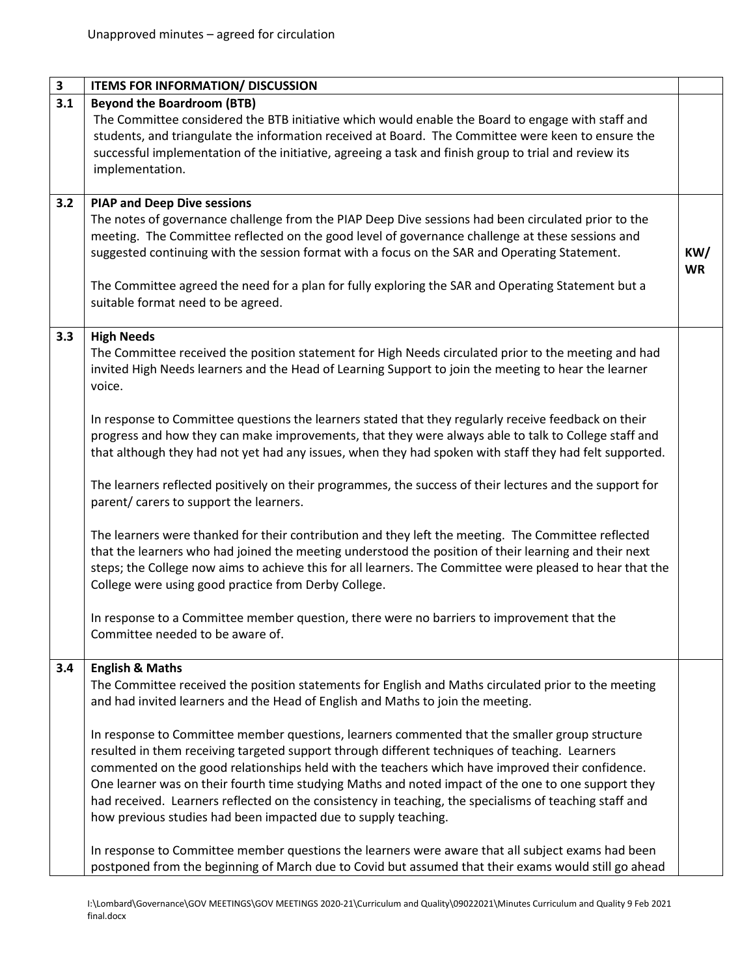| $\mathbf{3}$ | <b>ITEMS FOR INFORMATION/ DISCUSSION</b>                                                                  |           |
|--------------|-----------------------------------------------------------------------------------------------------------|-----------|
| 3.1          | <b>Beyond the Boardroom (BTB)</b>                                                                         |           |
|              | The Committee considered the BTB initiative which would enable the Board to engage with staff and         |           |
|              | students, and triangulate the information received at Board. The Committee were keen to ensure the        |           |
|              | successful implementation of the initiative, agreeing a task and finish group to trial and review its     |           |
|              | implementation.                                                                                           |           |
|              |                                                                                                           |           |
| 3.2          | <b>PIAP and Deep Dive sessions</b>                                                                        |           |
|              | The notes of governance challenge from the PIAP Deep Dive sessions had been circulated prior to the       |           |
|              | meeting. The Committee reflected on the good level of governance challenge at these sessions and          |           |
|              | suggested continuing with the session format with a focus on the SAR and Operating Statement.             | KW/       |
|              |                                                                                                           | <b>WR</b> |
|              | The Committee agreed the need for a plan for fully exploring the SAR and Operating Statement but a        |           |
|              | suitable format need to be agreed.                                                                        |           |
|              |                                                                                                           |           |
| 3.3          | <b>High Needs</b>                                                                                         |           |
|              | The Committee received the position statement for High Needs circulated prior to the meeting and had      |           |
|              | invited High Needs learners and the Head of Learning Support to join the meeting to hear the learner      |           |
|              | voice.                                                                                                    |           |
|              |                                                                                                           |           |
|              | In response to Committee questions the learners stated that they regularly receive feedback on their      |           |
|              | progress and how they can make improvements, that they were always able to talk to College staff and      |           |
|              | that although they had not yet had any issues, when they had spoken with staff they had felt supported.   |           |
|              |                                                                                                           |           |
|              | The learners reflected positively on their programmes, the success of their lectures and the support for  |           |
|              | parent/ carers to support the learners.                                                                   |           |
|              |                                                                                                           |           |
|              | The learners were thanked for their contribution and they left the meeting. The Committee reflected       |           |
|              | that the learners who had joined the meeting understood the position of their learning and their next     |           |
|              | steps; the College now aims to achieve this for all learners. The Committee were pleased to hear that the |           |
|              | College were using good practice from Derby College.                                                      |           |
|              |                                                                                                           |           |
|              | In response to a Committee member question, there were no barriers to improvement that the                |           |
|              | Committee needed to be aware of.                                                                          |           |
|              |                                                                                                           |           |
| 3.4          | <b>English &amp; Maths</b>                                                                                |           |
|              | The Committee received the position statements for English and Maths circulated prior to the meeting      |           |
|              | and had invited learners and the Head of English and Maths to join the meeting.                           |           |
|              | In response to Committee member questions, learners commented that the smaller group structure            |           |
|              | resulted in them receiving targeted support through different techniques of teaching. Learners            |           |
|              |                                                                                                           |           |
|              | commented on the good relationships held with the teachers which have improved their confidence.          |           |
|              | One learner was on their fourth time studying Maths and noted impact of the one to one support they       |           |
|              | had received. Learners reflected on the consistency in teaching, the specialisms of teaching staff and    |           |
|              | how previous studies had been impacted due to supply teaching.                                            |           |
|              |                                                                                                           |           |
|              | In response to Committee member questions the learners were aware that all subject exams had been         |           |
|              | postponed from the beginning of March due to Covid but assumed that their exams would still go ahead      |           |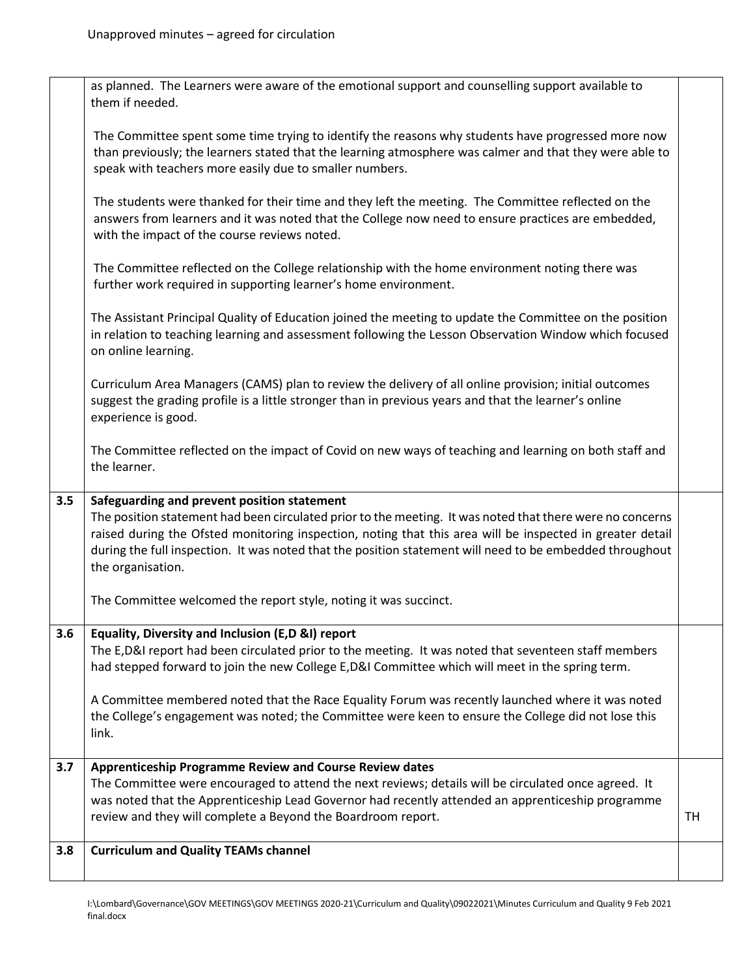|     | as planned. The Learners were aware of the emotional support and counselling support available to<br>them if needed.                                                                                                                                                                                                                                                                                   |    |
|-----|--------------------------------------------------------------------------------------------------------------------------------------------------------------------------------------------------------------------------------------------------------------------------------------------------------------------------------------------------------------------------------------------------------|----|
|     | The Committee spent some time trying to identify the reasons why students have progressed more now<br>than previously; the learners stated that the learning atmosphere was calmer and that they were able to<br>speak with teachers more easily due to smaller numbers.                                                                                                                               |    |
|     | The students were thanked for their time and they left the meeting. The Committee reflected on the<br>answers from learners and it was noted that the College now need to ensure practices are embedded,<br>with the impact of the course reviews noted.                                                                                                                                               |    |
|     | The Committee reflected on the College relationship with the home environment noting there was<br>further work required in supporting learner's home environment.                                                                                                                                                                                                                                      |    |
|     | The Assistant Principal Quality of Education joined the meeting to update the Committee on the position<br>in relation to teaching learning and assessment following the Lesson Observation Window which focused<br>on online learning.                                                                                                                                                                |    |
|     | Curriculum Area Managers (CAMS) plan to review the delivery of all online provision; initial outcomes<br>suggest the grading profile is a little stronger than in previous years and that the learner's online<br>experience is good.                                                                                                                                                                  |    |
|     | The Committee reflected on the impact of Covid on new ways of teaching and learning on both staff and<br>the learner.                                                                                                                                                                                                                                                                                  |    |
| 3.5 | Safeguarding and prevent position statement<br>The position statement had been circulated prior to the meeting. It was noted that there were no concerns<br>raised during the Ofsted monitoring inspection, noting that this area will be inspected in greater detail<br>during the full inspection. It was noted that the position statement will need to be embedded throughout<br>the organisation. |    |
|     | The Committee welcomed the report style, noting it was succinct.                                                                                                                                                                                                                                                                                                                                       |    |
| 3.6 | Equality, Diversity and Inclusion (E,D &I) report<br>The E,D&I report had been circulated prior to the meeting. It was noted that seventeen staff members<br>had stepped forward to join the new College E,D&I Committee which will meet in the spring term.                                                                                                                                           |    |
|     | A Committee membered noted that the Race Equality Forum was recently launched where it was noted<br>the College's engagement was noted; the Committee were keen to ensure the College did not lose this<br>link.                                                                                                                                                                                       |    |
| 3.7 | Apprenticeship Programme Review and Course Review dates                                                                                                                                                                                                                                                                                                                                                |    |
|     | The Committee were encouraged to attend the next reviews; details will be circulated once agreed. It<br>was noted that the Apprenticeship Lead Governor had recently attended an apprenticeship programme<br>review and they will complete a Beyond the Boardroom report.                                                                                                                              | TH |
| 3.8 | <b>Curriculum and Quality TEAMs channel</b>                                                                                                                                                                                                                                                                                                                                                            |    |